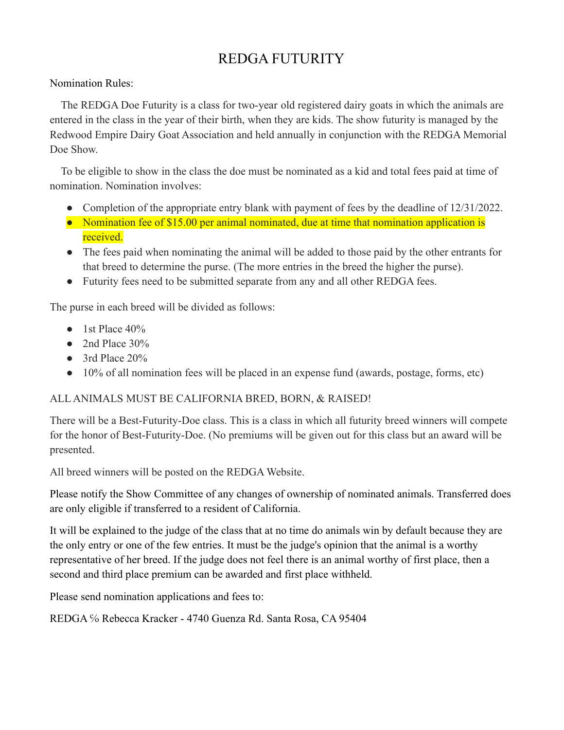## REDGA FUTURITY

Nomination Rules:

The REDGA Doe Futurity is a class for two-year old registered dairy goats in which the animals are entered in the class in the year of their birth, when they are kids. The show futurity is managed by the Redwood Empire Dairy Goat Association and held annually in conjunction with the REDGA Memorial Doe Show.

To be eligible to show in the class the doe must be nominated as a kid and total fees paid at time of nomination. Nomination involves:

- Completion of the appropriate entry blank with payment of fees by the deadline of 12/31/2022.
- Nomination fee of \$15.00 per animal nominated, due at time that nomination application is received.
- The fees paid when nominating the animal will be added to those paid by the other entrants for that breed to determine the purse. (The more entries in the breed the higher the purse).
- Futurity fees need to be submitted separate from any and all other REDGA fees.

The purse in each breed will be divided as follows:

- $\bullet$  1st Place 40%
- $\bullet$  2nd Place 30%
- 3rd Place 20%
- 10% of all nomination fees will be placed in an expense fund (awards, postage, forms, etc)

## ALL ANIMALS MUST BE CALIFORNIA BRED, BORN, & RAISED!

There will be a Best-Futurity-Doe class. This is a class in which all futurity breed winners will compete for the honor of Best-Futurity-Doe. (No premiums will be given out for this class but an award will be presented.

All breed winners will be posted on the REDGA Website.

Please notify the Show Committee of any changes of ownership of nominated animals. Transferred does are only eligible if transferred to a resident of California.

It will be explained to the judge of the class that at no time do animals win by default because they are the only entry or one of the few entries. It must be the judge's opinion that the animal is a worthy representative of her breed. If the judge does not feel there is an animal worthy of first place, then a second and third place premium can be awarded and first place withheld.

Please send nomination applications and fees to:

REDGA ℅ Rebecca Kracker - 4740 Guenza Rd. Santa Rosa, CA 95404